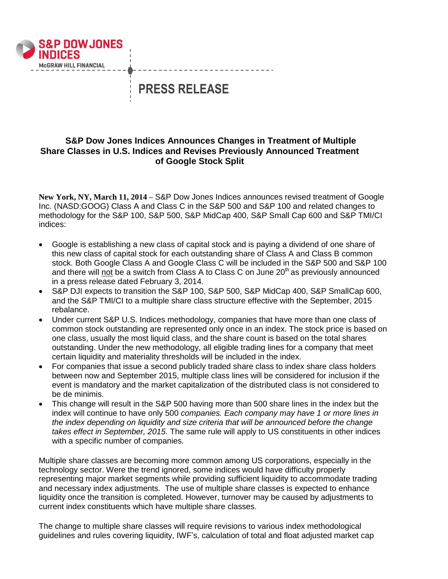

## **PRESS RELEASE**

## **S&P Dow Jones Indices Announces Changes in Treatment of Multiple Share Classes in U.S. Indices and Revises Previously Announced Treatment of Google Stock Split**

**New York, NY, March 11, 2014 –** S&P Dow Jones Indices announces revised treatment of Google Inc. (NASD:GOOG) Class A and Class C in the S&P 500 and S&P 100 and related changes to methodology for the S&P 100, S&P 500, S&P MidCap 400, S&P Small Cap 600 and S&P TMI/CI indices:

- Google is establishing a new class of capital stock and is paying a dividend of one share of this new class of capital stock for each outstanding share of Class A and Class B common stock. Both Google Class A and Google Class C will be included in the S&P 500 and S&P 100 and there will not be a switch from Class A to Class C on June  $20<sup>th</sup>$  as previously announced in a press release dated February 3, 2014.
- S&P DJI expects to transition the S&P 100, S&P 500, S&P MidCap 400, S&P SmallCap 600, and the S&P TMI/CI to a multiple share class structure effective with the September, 2015 rebalance.
- Under current S&P U.S. Indices methodology, companies that have more than one class of common stock outstanding are represented only once in an index. The stock price is based on one class, usually the most liquid class, and the share count is based on the total shares outstanding. Under the new methodology, all eligible trading lines for a company that meet certain liquidity and materiality thresholds will be included in the index.
- For companies that issue a second publicly traded share class to index share class holders between now and September 2015, multiple class lines will be considered for inclusion if the event is mandatory and the market capitalization of the distributed class is not considered to be de minimis.
- This change will result in the S&P 500 having more than 500 share lines in the index but the index will continue to have only 500 *companies. Each company may have 1 or more lines in the index depending on liquidity and size criteria that will be announced before the change takes effect in September, 2015.* The same rule will apply to US constituents in other indices with a specific number of companies.

Multiple share classes are becoming more common among US corporations, especially in the technology sector. Were the trend ignored, some indices would have difficulty properly representing major market segments while providing sufficient liquidity to accommodate trading and necessary index adjustments. The use of multiple share classes is expected to enhance liquidity once the transition is completed. However, turnover may be caused by adjustments to current index constituents which have multiple share classes.

The change to multiple share classes will require revisions to various index methodological guidelines and rules covering liquidity, IWF's, calculation of total and float adjusted market cap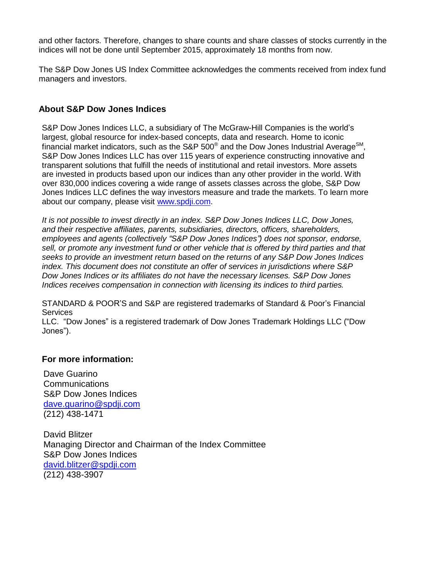and other factors. Therefore, changes to share counts and share classes of stocks currently in the indices will not be done until September 2015, approximately 18 months from now.

The S&P Dow Jones US Index Committee acknowledges the comments received from index fund managers and investors.

## **About S&P Dow Jones Indices**

S&P Dow Jones Indices LLC, a subsidiary of The McGraw-Hill Companies is the world's largest, global resource for index-based concepts, data and research. Home to iconic financial market indicators, such as the S&P 500<sup>®</sup> and the Dow Jones Industrial Average<sup>SM</sup>, S&P Dow Jones Indices LLC has over 115 years of experience constructing innovative and transparent solutions that fulfill the needs of institutional and retail investors. More assets are invested in products based upon our indices than any other provider in the world. With over 830,000 indices covering a wide range of assets classes across the globe, S&P Dow Jones Indices LLC defines the way investors measure and trade the markets. To learn more about our company, please visit [www.spdji.com.](http://www.spdji.com/)

*It is not possible to invest directly in an index. S&P Dow Jones Indices LLC, Dow Jones, and their respective affiliates, parents, subsidiaries, directors, officers, shareholders, employees and agents (collectively "S&P Dow Jones Indices") does not sponsor, endorse, sell, or promote any investment fund or other vehicle that is offered by third parties and that seeks to provide an investment return based on the returns of any S&P Dow Jones Indices index. This document does not constitute an offer of services in jurisdictions where S&P Dow Jones Indices or its affiliates do not have the necessary licenses. S&P Dow Jones Indices receives compensation in connection with licensing its indices to third parties.*

STANDARD & POOR'S and S&P are registered trademarks of Standard & Poor's Financial **Services** 

LLC. "Dow Jones" is a registered trademark of Dow Jones Trademark Holdings LLC ("Dow Jones").

## **For more information:**

Dave Guarino Communications S&P Dow Jones Indices [dave.guarino@spdji.com](mailto:dave.guarino@spdji.com) (212) 438-1471

David Blitzer Managing Director and Chairman of the Index Committee S&P Dow Jones Indices [david.blitzer@spdji.com](mailto:david.blitzer@spdji.com) (212) 438-3907